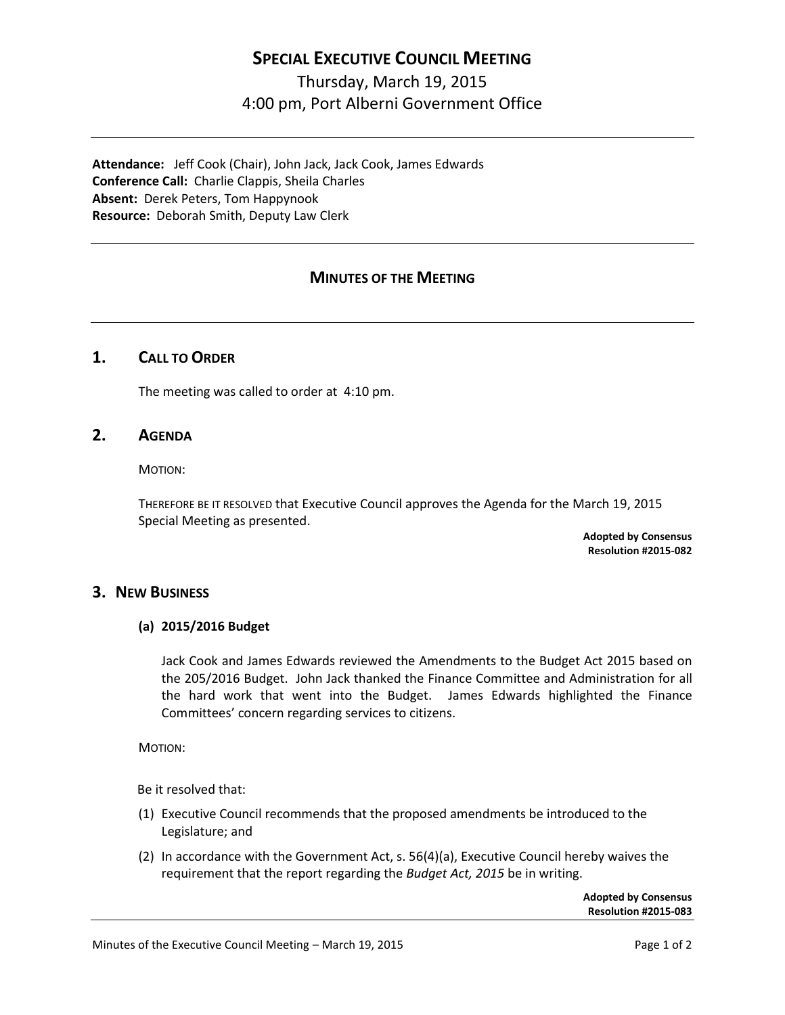## **SPECIAL EXECUTIVE COUNCIL MEETING**

# Thursday, March 19, 2015 4:00 pm, Port Alberni Government Office

**Attendance:** Jeff Cook (Chair), John Jack, Jack Cook, James Edwards **Conference Call:** Charlie Clappis, Sheila Charles **Absent:** Derek Peters, Tom Happynook **Resource:** Deborah Smith, Deputy Law Clerk

## **MINUTES OF THE MEETING**

## **1. CALL TO ORDER**

The meeting was called to order at 4:10 pm.

#### **2. AGENDA**

MOTION:

THEREFORE BE IT RESOLVED that Executive Council approves the Agenda for the March 19, 2015 Special Meeting as presented.

> **Adopted by Consensus Resolution #2015-082**

#### **3. NEW BUSINESS**

#### **(a) 2015/2016 Budget**

Jack Cook and James Edwards reviewed the Amendments to the Budget Act 2015 based on the 205/2016 Budget. John Jack thanked the Finance Committee and Administration for all the hard work that went into the Budget. James Edwards highlighted the Finance Committees' concern regarding services to citizens.

MOTION:

Be it resolved that:

- (1) Executive Council recommends that the proposed amendments be introduced to the Legislature; and
- (2) In accordance with the Government Act, s. 56(4)(a), Executive Council hereby waives the requirement that the report regarding the *Budget Act, 2015* be in writing.

**Adopted by Consensus Resolution #2015-083**